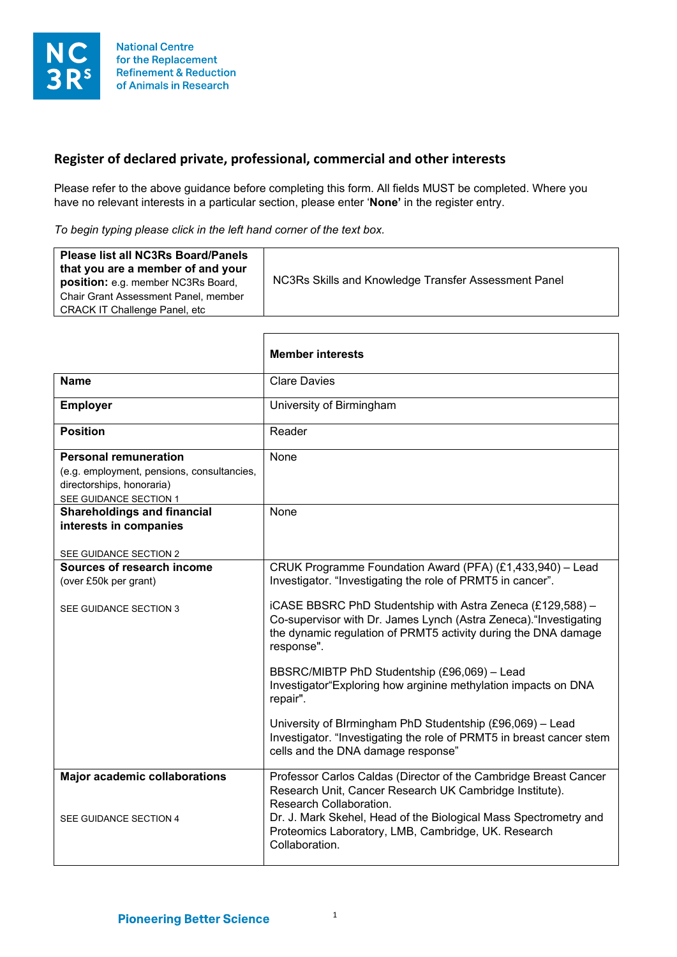

## **Register of declared private, professional, commercial and other interests**

Please refer to the above guidance before completing this form. All fields MUST be completed. Where you have no relevant interests in a particular section, please enter '**None'** in the register entry.

*To begin typing please click in the left hand corner of the text box.*

|                                                                                                                                   | <b>Member interests</b>                                                                                                                                                                                                                                                                             |
|-----------------------------------------------------------------------------------------------------------------------------------|-----------------------------------------------------------------------------------------------------------------------------------------------------------------------------------------------------------------------------------------------------------------------------------------------------|
| <b>Name</b>                                                                                                                       | <b>Clare Davies</b>                                                                                                                                                                                                                                                                                 |
| <b>Employer</b>                                                                                                                   | University of Birmingham                                                                                                                                                                                                                                                                            |
| <b>Position</b>                                                                                                                   | Reader                                                                                                                                                                                                                                                                                              |
| <b>Personal remuneration</b><br>(e.g. employment, pensions, consultancies,<br>directorships, honoraria)<br>SEE GUIDANCE SECTION 1 | None                                                                                                                                                                                                                                                                                                |
| <b>Shareholdings and financial</b><br>interests in companies<br>SEE GUIDANCE SECTION 2                                            | None                                                                                                                                                                                                                                                                                                |
| Sources of research income<br>(over £50k per grant)                                                                               | CRUK Programme Foundation Award (PFA) (£1,433,940) - Lead<br>Investigator. "Investigating the role of PRMT5 in cancer".                                                                                                                                                                             |
| SEE GUIDANCE SECTION 3                                                                                                            | iCASE BBSRC PhD Studentship with Astra Zeneca (£129,588) -<br>Co-supervisor with Dr. James Lynch (Astra Zeneca). "Investigating<br>the dynamic regulation of PRMT5 activity during the DNA damage<br>response".                                                                                     |
|                                                                                                                                   | BBSRC/MIBTP PhD Studentship (£96,069) - Lead<br>Investigator "Exploring how arginine methylation impacts on DNA<br>repair".                                                                                                                                                                         |
|                                                                                                                                   | University of Blrmingham PhD Studentship (£96,069) - Lead<br>Investigator. "Investigating the role of PRMT5 in breast cancer stem<br>cells and the DNA damage response"                                                                                                                             |
| <b>Major academic collaborations</b><br>SEE GUIDANCE SECTION 4                                                                    | Professor Carlos Caldas (Director of the Cambridge Breast Cancer<br>Research Unit, Cancer Research UK Cambridge Institute).<br>Research Collaboration.<br>Dr. J. Mark Skehel, Head of the Biological Mass Spectrometry and<br>Proteomics Laboratory, LMB, Cambridge, UK. Research<br>Collaboration. |